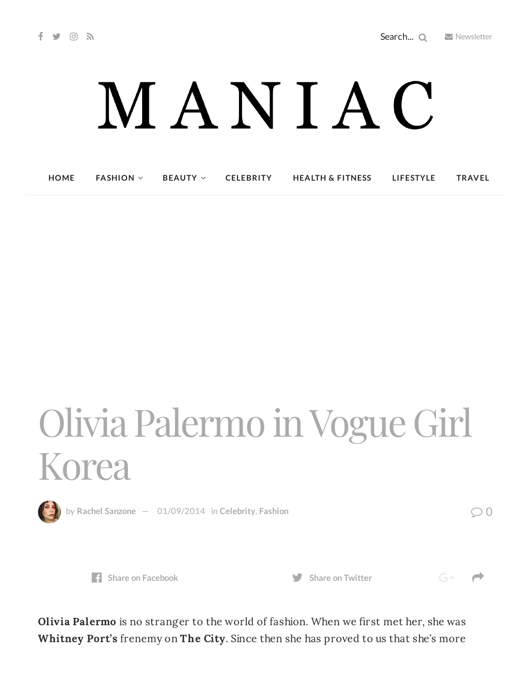$G^+$   $\rightarrow$ 

## MANIAC

**[HOME](http://maniacmagazine.com/) [FASHION](http://maniacmagazine.com/fashion/) [BEAUTY](http://maniacmagazine.com/beauty/) [CELEBRITY](http://maniacmagazine.com/celebrity/) HEALTH & [FITNESS](http://maniacmagazine.com/beauty/health-and-fitness/) [LIFESTYLE](http://maniacmagazine.com/lifestyle/) [TRAVEL](http://maniacmagazine.com/life/travel/)**

## Olivia Palermo inVogue Girl Korea



by Rachel [Sanzone](http://maniacmagazine.com/author/rachel/)  $-$  [01/09/2014](http://maniacmagazine.com/fashion/olivia-palermo-in-vogue-girl-korea/) in [Celebrity](http://maniacmagazine.com/culture/celebrity-culture/), [Fashion](http://maniacmagazine.com/fashion/)  $\oslash$  0



**Share** on [Facebook](http://www.facebook.com/sharer.php?u=http%3A%2F%2Fmaniacmagazine.com%2Ffashion%2Folivia-palermo-in-vogue-girl-korea%2F) **Share** on [Twitter](https://twitter.com/intent/tweet?text=Olivia+Palermo+in+Vogue+Girl+Korea&url=http%3A%2F%2Fmaniacmagazine.com%2Ffashion%2Folivia-palermo-in-vogue-girl-korea%2F)

Olivia Palermo is no stranger to the world of fashion. When we first met her, she was Whitney Port's frenemy on The City. Since then she has proved to us that she's more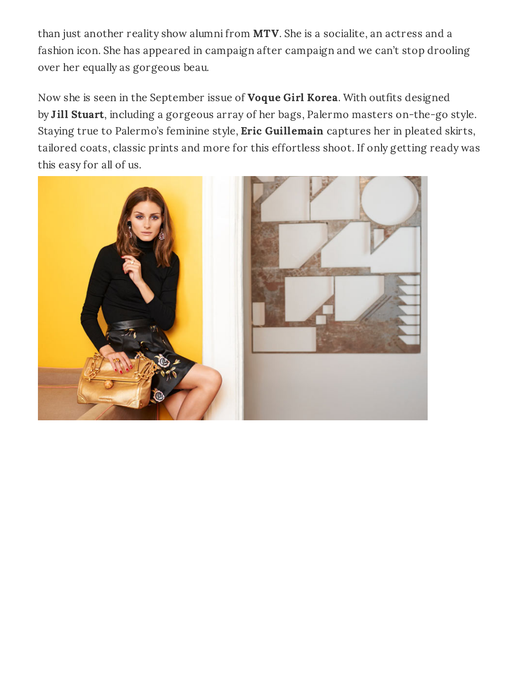than just another reality show alumni from MTV. She is a socialite, an actress and a fashion icon. She has appeared in campaign after campaign and we can't stop drooling over her equally as gorgeous beau.

Now she is seen in the September issue of **Voque Girl Korea**. With outfits designed by Jill Stuart, including a gorgeous array of her bags, Palermo masters on-the-go style. Staying true to Palermo's feminine style, Eric Guillemain captures her in pleated skirts, tailored coats, classic prints and more for this effortless shoot. If only getting ready was this easy for all of us.

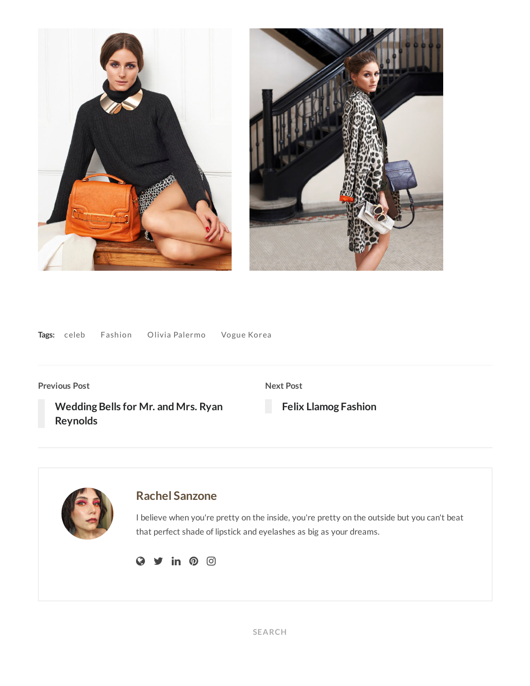



|  | Tags: celeb | Fashion | Olivia Palermo | Vogue Korea |
|--|-------------|---------|----------------|-------------|
|--|-------------|---------|----------------|-------------|

**Previous Post**

**Next Post**

**Wedding Bells for Mr. and Mrs. Ryan [Reynolds](http://maniacmagazine.com/culture/celebrity-culture/wedding-bells-for-mr-and-mrs-ryan-reynolds/)**

**Felix Llamog [Fashion](http://maniacmagazine.com/locations/miami/felix-llamog-fashion/)**

**Rachel [Sanzone](http://maniacmagazine.com/author/rachel/)** I believe when you're pretty on the inside, you're pretty on the outside but you can't beat that perfect shade of lipstick and eyelashes as big as your dreams.  $Q \times in 0$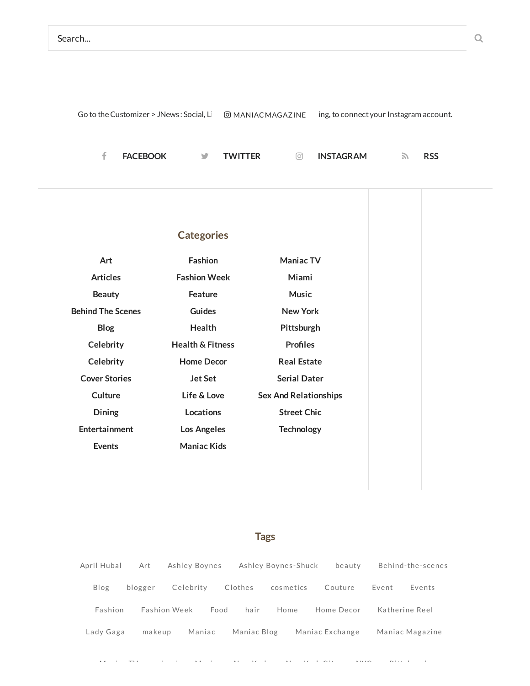|  |  |                            |  | Go to the Customizer > JNews: Social, $L = \textcircled{B}$ MANIAC MAGAZINE $\equiv$ ing, to connect your Instagram account. |     |           |        |            |  |
|--|--|----------------------------|--|------------------------------------------------------------------------------------------------------------------------------|-----|-----------|--------|------------|--|
|  |  |                            |  |                                                                                                                              |     |           |        |            |  |
|  |  | <b>FACEBOOK WE TWITTER</b> |  |                                                                                                                              | [O] | INSTAGRAM | $\sim$ | <b>RSS</b> |  |

| <b>Categories</b>        |                             |                              |  |  |  |  |
|--------------------------|-----------------------------|------------------------------|--|--|--|--|
| Art                      | <b>Fashion</b>              | <b>Maniac TV</b>             |  |  |  |  |
| <b>Articles</b>          | <b>Fashion Week</b>         | Miami                        |  |  |  |  |
| <b>Beauty</b>            | <b>Feature</b>              | <b>Music</b>                 |  |  |  |  |
| <b>Behind The Scenes</b> | <b>Guides</b>               | <b>New York</b>              |  |  |  |  |
| <b>Blog</b>              | <b>Health</b>               | Pittsburgh                   |  |  |  |  |
| Celebrity                | <b>Health &amp; Fitness</b> | <b>Profiles</b>              |  |  |  |  |
| Celebrity                | <b>Home Decor</b>           | <b>Real Estate</b>           |  |  |  |  |
| <b>Cover Stories</b>     | <b>Jet Set</b>              | <b>Serial Dater</b>          |  |  |  |  |
| Culture                  | Life & Love                 | <b>Sex And Relationships</b> |  |  |  |  |
| Dining                   | Locations                   | <b>Street Chic</b>           |  |  |  |  |
| Entertainment            | Los Angeles                 | <b>Technology</b>            |  |  |  |  |
| <b>Events</b>            | <b>Maniac Kids</b>          |                              |  |  |  |  |

## **Tags**

April [Huba](http://maniacmagazine.com/tag/april-hubal/)l [Art](http://maniacmagazine.com/tag/art/) Ashley [Boynes](http://maniacmagazine.com/tag/ashley-boynes-shuck/) Ashley Boynes-Shuck [beauty](http://maniacmagazine.com/tag/beauty-2/) [Behind-the-scenes](http://maniacmagazine.com/tag/behind-the-scenes/) [Blog](http://maniacmagazine.com/tag/blog/) [blogger](http://maniacmagazine.com/tag/blogger/) [Celebrity](http://maniacmagazine.com/tag/celebrity/) [Clothes](http://maniacmagazine.com/tag/clothes/) [cosmetics](http://maniacmagazine.com/tag/cosmetics/) [Couture](http://maniacmagazine.com/tag/couture/) [Event](http://maniacmagazine.com/tag/event/) [Events](http://maniacmagazine.com/tag/events/) Fa[shion](http://maniacmagazine.com/tag/fashion/) Fashion [Week](http://maniacmagazine.com/tag/fashion-week/) [Food](http://maniacmagazine.com/tag/food/) [ha](http://maniacmagazine.com/tag/hair/)ir [Home](http://maniacmagazine.com/tag/home/) Home [Decor](http://maniacmagazine.com/tag/home-decor/) Ka[therine](http://maniacmagazine.com/tag/katherine-reel/) Reel [Lady](http://maniacmagazine.com/tag/lady-gaga/) Gaga [makeup](http://maniacmagazine.com/tag/makeup/) [Mania](http://maniacmagazine.com/tag/maniac-magazine/)c Maniac Blog Maniac [Exchange](http://maniacmagazine.com/tag/maniac-exchange/) Maniac Magazine

M [i](http://maniacmagazine.com/tag/miami-2/) i i material de la citat de la citat de la citat de la citat de la citat de la citat de la citat de la cit<br>La citat